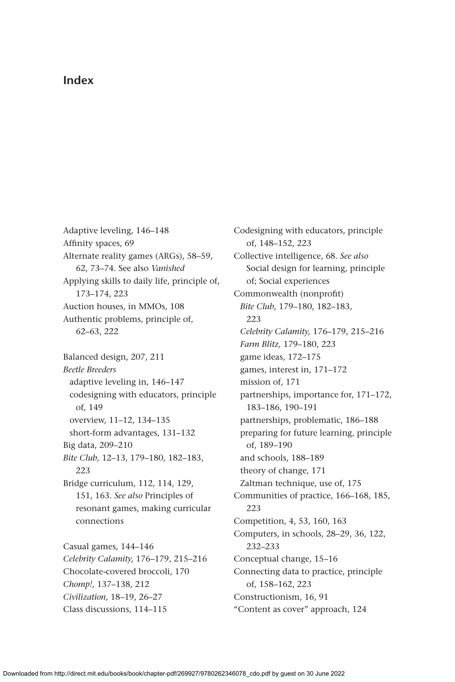## **Index**

Adaptive leveling, 146–148 Affinity spaces, 69 Alternate reality games (ARGs), 58–59, 62, 73–74. See also *Vanished* Applying skills to daily life, principle of, 173–174, 223 Auction houses, in MMOs, 108 Authentic problems, principle of, 62–63, 222 Balanced design, 207, 211 *Beetle Breeders* adaptive leveling in, 146–147 codesigning with educators, principle of, 149 overview, 11–12, 134–135 short-form advantages, 131–132 Big data, 209–210 *Bite Club,* 12–13, 179–180, 182–183, 223 Bridge curriculum, 112, 114, 129, 151, 163. *See also* Principles of resonant games, making curricular connections Casual games, 144–146 *Celebrity Calamity,* 176–179, 215–216 Chocolate-covered broccoli, 170 *Chomp!,* 137–138, 212 *Civilization,* 18–19, 26–27

Class discussions, 114–115

Codesigning with educators, principle of, 148–152, 223 Collective intelligence, 68. *See also* Social design for learning, principle of; Social experiences Commonwealth (nonprofit) *Bite Club,* 179–180, 182–183, 223 *Celebrity Calamity,* 176–179, 215–216 *Farm Blitz,* 179–180, 223 game ideas, 172–175 games, interest in, 171–172 mission of, 171 partnerships, importance for, 171–172, 183–186, 190–191 partnerships, problematic, 186–188 preparing for future learning, principle of, 189–190 and schools, 188–189 theory of change, 171 Zaltman technique, use of, 175 Communities of practice, 166–168, 185, 223 Competition, 4, 53, 160, 163 Computers, in schools, 28–29, 36, 122, 232–233 Conceptual change, 15–16 Connecting data to practice, principle of, 158–162, 223 Constructionism, 16, 91 "Content as cover" approach, 124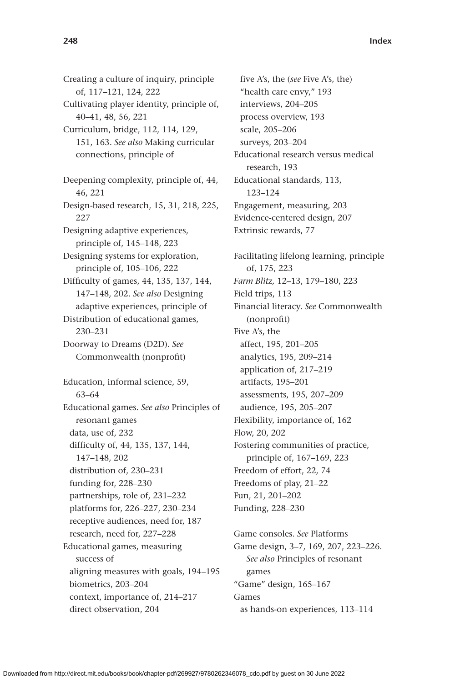Creating a culture of inquiry, principle of, 117–121, 124, 222 Cultivating player identity, principle of, 40–41, 48, 56, 221 Curriculum, bridge, 112, 114, 129, 151, 163. *See also* Making curricular connections, principle of Deepening complexity, principle of, 44, 46, 221 Design-based research, 15, 31, 218, 225, 227 Designing adaptive experiences, principle of, 145–148, 223 Designing systems for exploration, principle of, 105–106, 222 Difficulty of games, 44, 135, 137, 144, 147–148, 202. *See also* Designing adaptive experiences, principle of Distribution of educational games, 230–231 Doorway to Dreams (D2D). *See* Commonwealth (nonprofit) Education, informal science, 59, 63–64 Educational games. *See also* Principles of resonant games data, use of, 232 difficulty of, 44, 135, 137, 144, 147–148, 202 distribution of, 230–231 funding for, 228–230 partnerships, role of, 231–232 platforms for, 226–227, 230–234 receptive audiences, need for, 187 research, need for, 227–228 Educational games, measuring success of aligning measures with goals, 194–195 biometrics, 203–204 context, importance of, 214–217 direct observation, 204

five A's, the (*see* Five A's, the) "health care envy," 193 interviews, 204–205 process overview, 193 scale, 205–206 surveys, 203–204 Educational research versus medical research, 193 Educational standards, 113, 123–124 Engagement, measuring, 203 Evidence-centered design, 207 Extrinsic rewards, 77 Facilitating lifelong learning, principle of, 175, 223 *Farm Blitz,* 12–13, 179–180, 223 Field trips, 113 Financial literacy. *See* Commonwealth (nonprofit) Five A's, the affect, 195, 201–205 analytics, 195, 209–214 application of, 217–219 artifacts, 195–201 assessments, 195, 207–209 audience, 195, 205–207 Flexibility, importance of, 162 Flow, 20, 202 Fostering communities of practice, principle of, 167–169, 223 Freedom of effort, 22, 74 Freedoms of play, 21–22 Fun, 21, 201–202 Funding, 228–230 Game consoles. *See* Platforms

Game design, 3–7, 169, 207, 223–226. *See also* Principles of resonant games "Game" design, 165–167 Games as hands-on experiences, 113–114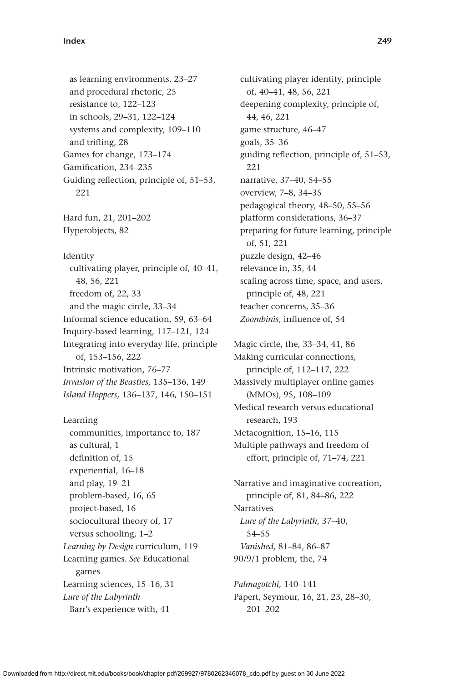as learning environments, 23–27 and procedural rhetoric, 25 resistance to, 122–123 in schools, 29–31, 122–124 systems and complexity, 109–110 and trifling, 28 Games for change, 173–174 Gamification, 234–235 Guiding reflection, principle of, 51–53, 221 Hard fun, 21, 201–202 Hyperobjects, 82 Identity cultivating player, principle of, 40–41, 48, 56, 221 freedom of, 22, 33 and the magic circle, 33–34 Informal science education, 59, 63–64 Inquiry-based learning, 117–121, 124 Integrating into everyday life, principle of, 153–156, 222 Intrinsic motivation, 76–77 *Invasion of the Beasties,* 135–136, 149 *Island Hoppers,* 136–137, 146, 150–151

Learning communities, importance to, 187 as cultural, 1 definition of, 15 experiential, 16–18 and play, 19–21 problem-based, 16, 65 project-based, 16 sociocultural theory of, 17 versus schooling, 1–2 *Learning by Design* curriculum, 119 Learning games. *See* Educational games Learning sciences, 15–16, 31 *Lure of the Labyrinth* Barr's experience with, 41

cultivating player identity, principle of, 40–41, 48, 56, 221 deepening complexity, principle of, 44, 46, 221 game structure, 46–47 goals, 35–36 guiding reflection, principle of, 51–53, 221 narrative, 37–40, 54–55 overview, 7–8, 34–35 pedagogical theory, 48–50, 55–56 platform considerations, 36–37 preparing for future learning, principle of, 51, 221 puzzle design, 42–46 relevance in, 35, 44 scaling across time, space, and users, principle of, 48, 221 teacher concerns, 35–36 *Zoombinis,* influence of, 54

Magic circle, the, 33–34, 41, 86 Making curricular connections, principle of, 112–117, 222 Massively multiplayer online games (MMOs), 95, 108–109 Medical research versus educational research, 193 Metacognition, 15–16, 115 Multiple pathways and freedom of effort, principle of, 71–74, 221

Narrative and imaginative cocreation, principle of, 81, 84–86, 222 Narratives *Lure of the Labyrinth,* 37–40, 54–55 *Vanished,* 81–84, 86–87 90/9/1 problem, the, 74

*Palmagotchi,* 140–141 Papert, Seymour, 16, 21, 23, 28–30, 201–202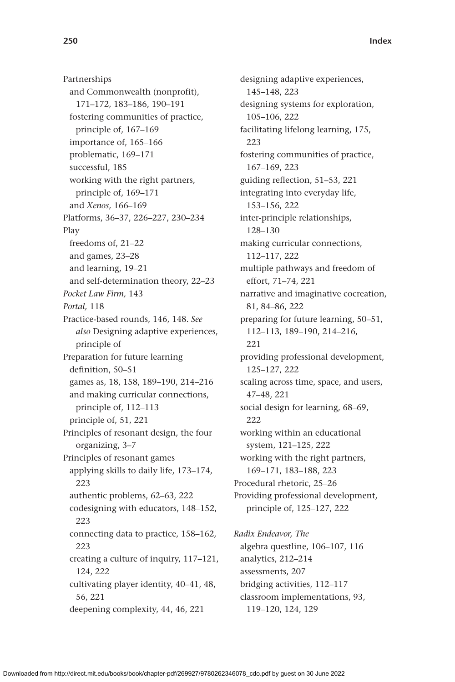Partnerships and Commonwealth (nonprofit), 171–172, 183–186, 190–191 fostering communities of practice, principle of, 167–169 importance of, 165–166 problematic, 169–171 successful, 185 working with the right partners, principle of, 169–171 and *Xenos,* 166–169 Platforms, 36–37, 226–227, 230–234 Play freedoms of, 21–22 and games, 23–28 and learning, 19–21 and self-determination theory, 22–23 *Pocket Law Firm,* 143 *Portal,* 118 Practice-based rounds, 146, 148. *See also* Designing adaptive experiences, principle of Preparation for future learning definition, 50–51 games as, 18, 158, 189–190, 214–216 and making curricular connections, principle of, 112–113 principle of, 51, 221 Principles of resonant design, the four organizing, 3–7 Principles of resonant games applying skills to daily life, 173–174, 223 authentic problems, 62–63, 222 codesigning with educators, 148–152, 223 connecting data to practice, 158–162, 223 creating a culture of inquiry, 117–121, 124, 222 cultivating player identity, 40–41, 48, 56, 221 deepening complexity, 44, 46, 221

designing adaptive experiences, 145–148, 223 designing systems for exploration, 105–106, 222 facilitating lifelong learning, 175, 223 fostering communities of practice, 167–169, 223 guiding reflection, 51–53, 221 integrating into everyday life, 153–156, 222 inter-principle relationships, 128–130 making curricular connections, 112–117, 222 multiple pathways and freedom of effort, 71–74, 221 narrative and imaginative cocreation, 81, 84–86, 222 preparing for future learning, 50–51, 112–113, 189–190, 214–216, 221 providing professional development, 125–127, 222 scaling across time, space, and users, 47–48, 221 social design for learning, 68–69, 222 working within an educational system, 121–125, 222 working with the right partners, 169–171, 183–188, 223 Procedural rhetoric, 25–26 Providing professional development, principle of, 125–127, 222 *Radix Endeavor, The* algebra questline, 106–107, 116 analytics, 212–214 assessments, 207

bridging activities, 112–117 classroom implementations, 93, 119–120, 124, 129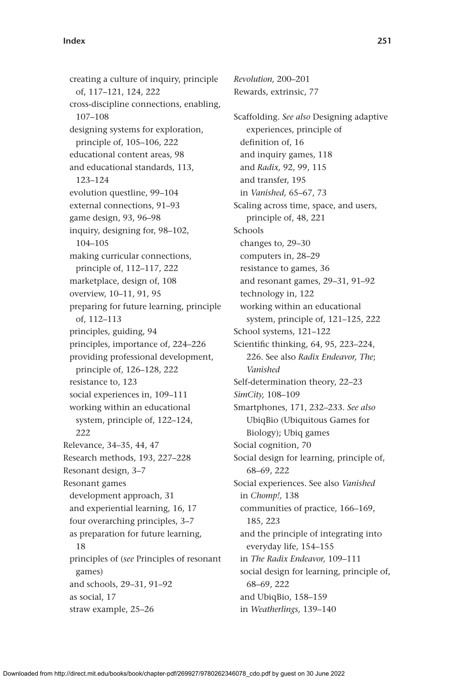creating a culture of inquiry, principle of, 117–121, 124, 222 cross-discipline connections, enabling, 107–108 designing systems for exploration, principle of, 105–106, 222 educational content areas, 98 and educational standards, 113, 123–124 evolution questline, 99–104 external connections, 91–93 game design, 93, 96–98 inquiry, designing for, 98–102, 104–105 making curricular connections, principle of, 112–117, 222 marketplace, design of, 108 overview, 10–11, 91, 95 preparing for future learning, principle of, 112–113 principles, guiding, 94 principles, importance of, 224–226 providing professional development, principle of, 126–128, 222 resistance to, 123 social experiences in, 109–111 working within an educational system, principle of, 122–124, 222 Relevance, 34–35, 44, 47 Research methods, 193, 227–228 Resonant design, 3–7 Resonant games development approach, 31 and experiential learning, 16, 17 four overarching principles, 3–7 as preparation for future learning, 18 principles of (*see* Principles of resonant games) and schools, 29–31, 91–92 as social, 17 straw example, 25–26

*Revolution,* 200–201 Rewards, extrinsic, 77 Scaffolding. *See also* Designing adaptive experiences, principle of definition of, 16 and inquiry games, 118 and *Radix,* 92, 99, 115 and transfer, 195 in *Vanished,* 65–67, 73 Scaling across time, space, and users, principle of, 48, 221 Schools changes to, 29–30 computers in, 28–29 resistance to games, 36 and resonant games, 29–31, 91–92 technology in, 122 working within an educational system, principle of, 121–125, 222 School systems, 121–122 Scientific thinking, 64, 95, 223–224, 226. See also *Radix Endeavor, The*; *Vanished* Self-determination theory, 22–23 *SimCity,* 108–109 Smartphones, 171, 232–233. *See also* UbiqBio (Ubiquitous Games for Biology); Ubiq games Social cognition, 70 Social design for learning, principle of, 68–69, 222 Social experiences. See also *Vanished* in *Chomp!,* 138 communities of practice, 166–169, 185, 223 and the principle of integrating into everyday life, 154–155 in *The Radix Endeavor,* 109–111 social design for learning, principle of, 68–69, 222 and UbiqBio, 158–159 in *Weatherlings,* 139–140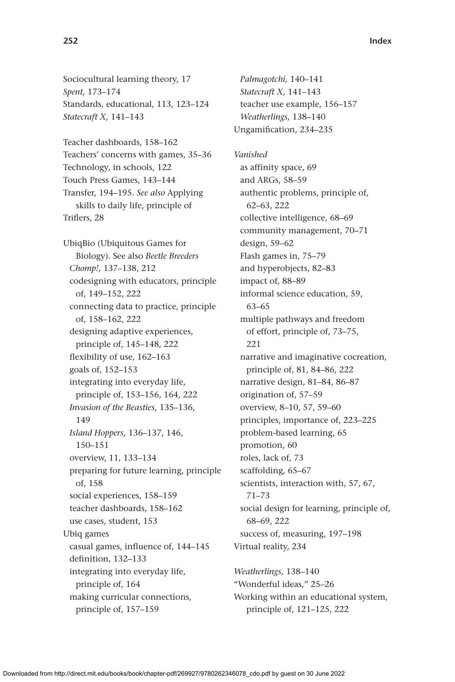Sociocultural learning theory, 17 *Spent,* 173–174 Standards, educational, 113, 123–124 *Statecraft X,* 141–143

Teacher dashboards, 158–162 Teachers' concerns with games, 35–36 Technology, in schools, 122 Touch Press Games, 143–144 Transfer, 194–195. *See also* Applying skills to daily life, principle of Triflers, 28

UbiqBio (Ubiquitous Games for Biology). See also *Beetle Breeders Chomp!,* 137–138, 212 codesigning with educators, principle of, 149–152, 222 connecting data to practice, principle of, 158–162, 222 designing adaptive experiences, principle of, 145–148, 222 flexibility of use, 162–163 goals of, 152–153 integrating into everyday life, principle of, 153–156, 164, 222 *Invasion of the Beasties,* 135–136, 149 *Island Hoppers,* 136–137, 146, 150–151 overview, 11, 133–134 preparing for future learning, principle of, 158 social experiences, 158–159 teacher dashboards, 158–162 use cases, student, 153 Ubiq games casual games, influence of, 144–145 definition, 132–133 integrating into everyday life, principle of, 164 making curricular connections, principle of, 157–159

*Palmagotchi,* 140–141 *Statecraft X,* 141–143 teacher use example, 156–157 *Weatherlings,* 138–140 Ungamification, 234–235

*Vanished* as affinity space, 69 and ARGs, 58–59 authentic problems, principle of, 62–63, 222 collective intelligence, 68–69 community management, 70–71 design, 59–62 Flash games in, 75–79 and hyperobjects, 82–83 impact of, 88–89 informal science education, 59, 63–65 multiple pathways and freedom of effort, principle of, 73–75, 221 narrative and imaginative cocreation, principle of, 81, 84–86, 222 narrative design, 81–84, 86–87 origination of, 57–59 overview, 8–10, 57, 59–60 principles, importance of, 223–225 problem-based learning, 65 promotion, 60 roles, lack of, 73 scaffolding, 65–67 scientists, interaction with, 57, 67, 71–73 social design for learning, principle of, 68–69, 222 success of, measuring, 197–198 Virtual reality, 234

*Weatherlings,* 138–140 "Wonderful ideas," 25–26 Working within an educational system, principle of, 121–125, 222